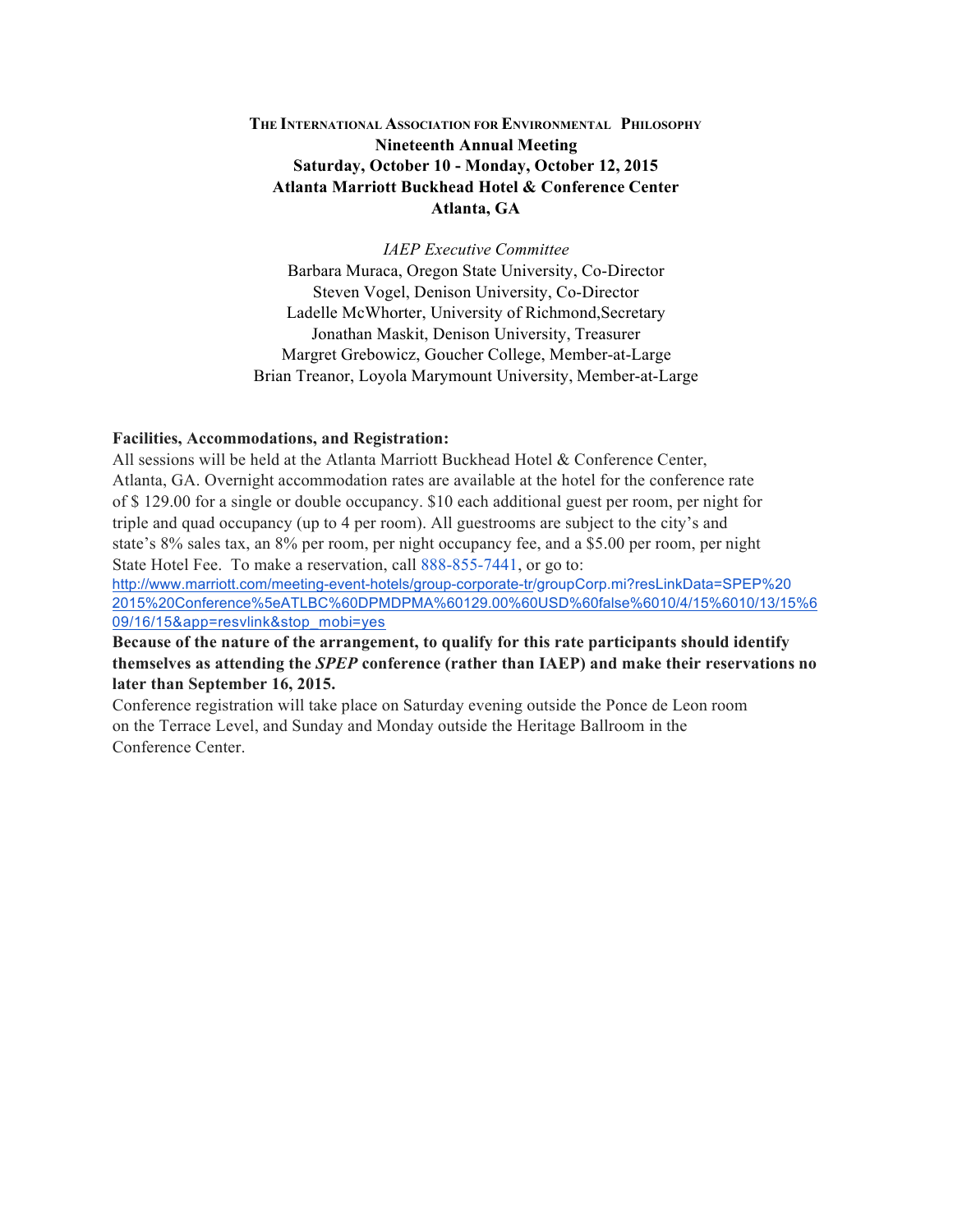# **THE INTERNATIONAL ASSOCIATION FOR ENVIRONMENTAL PHILOSOPHY Nineteenth Annual Meeting Saturday, October 10 - Monday, October 12, 2015 Atlanta Marriott Buckhead Hotel & Conference Center Atlanta, GA**

*IAEP Executive Committee* Barbara Muraca, Oregon State University, Co-Director Steven Vogel, Denison University, Co-Director Ladelle McWhorter, University of Richmond,Secretary Jonathan Maskit, Denison University, Treasurer Margret Grebowicz, Goucher College, Member-at-Large Brian Treanor, Loyola Marymount University, Member-at-Large

#### **Facilities, Accommodations, and Registration:**

All sessions will be held at the Atlanta Marriott Buckhead Hotel & Conference Center, Atlanta, GA. Overnight accommodation rates are available at the hotel for the conference rate of \$ 129.00 for a single or double occupancy. \$10 each additional guest per room, per night for triple and quad occupancy (up to 4 per room). All guestrooms are subject to the city's and state's 8% sales tax, an 8% per room, per night occupancy fee, and a \$5.00 per room, per night State Hotel Fee. To make a reservation, call 888-855-7441, or go to:

http://www.marriott.com/meeting-event-hotels/group-corporate-tr/groupCorp.mi?resLinkData=SPEP%20 2015%20Conference%5eATLBC%60DPMDPMA%60129.00%60USD%60false%6010/4/15%6010/13/15%6 09/16/15&app=resvlink&stop\_mobi=yes

**Because of the nature of the arrangement, to qualify for this rate participants should identify themselves as attending the** *SPEP* **conference (rather than IAEP) and make their reservations no later than September 16, 2015.**

Conference registration will take place on Saturday evening outside the Ponce de Leon room on the Terrace Level, and Sunday and Monday outside the Heritage Ballroom in the Conference Center.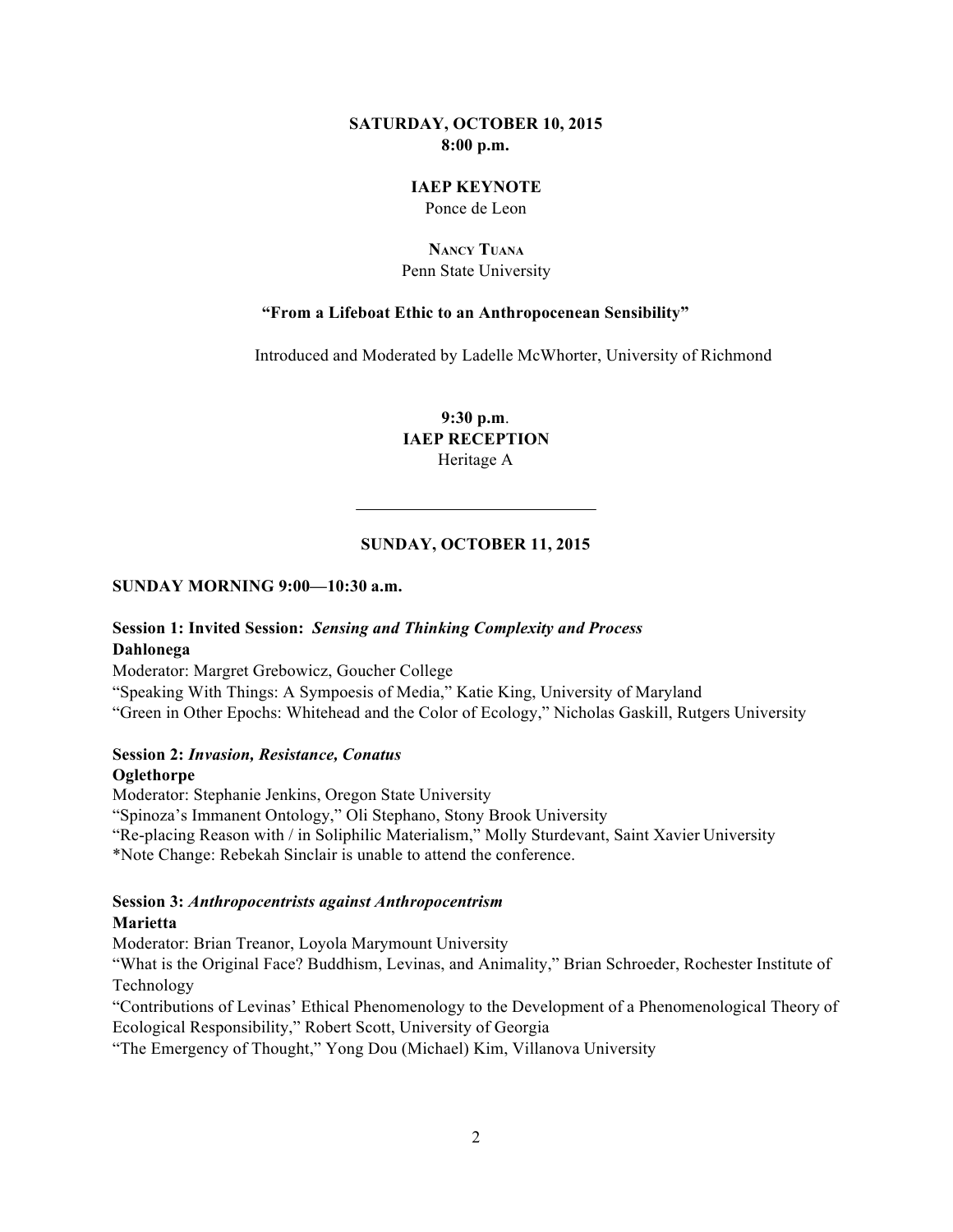#### **SATURDAY, OCTOBER 10, 2015 8:00 p.m.**

#### **IAEP KEYNOTE** Ponce de Leon

#### **NANCY TUANA** Penn State University

### **"From a Lifeboat Ethic to an Anthropocenean Sensibility"**

Introduced and Moderated by Ladelle McWhorter, University of Richmond

**9:30 p.m**. **IAEP RECEPTION** Heritage A

### **SUNDAY, OCTOBER 11, 2015**

#### **SUNDAY MORNING 9:00—10:30 a.m.**

### **Session 1: Invited Session:** *Sensing and Thinking Complexity and Process* **Dahlonega**

Moderator: Margret Grebowicz, Goucher College

"Speaking With Things: A Sympoesis of Media," Katie King, University of Maryland "Green in Other Epochs: Whitehead and the Color of Ecology," Nicholas Gaskill, Rutgers University

#### **Session 2:** *Invasion, Resistance, Conatus*

#### **Oglethorpe**

Moderator: Stephanie Jenkins, Oregon State University "Spinoza's Immanent Ontology," Oli Stephano, Stony Brook University "Re-placing Reason with / in Soliphilic Materialism," Molly Sturdevant, Saint Xavier University \*Note Change: Rebekah Sinclair is unable to attend the conference.

#### **Session 3:** *Anthropocentrists against Anthropocentrism* **Marietta**

Moderator: Brian Treanor, Loyola Marymount University

"What is the Original Face? Buddhism, Levinas, and Animality," Brian Schroeder, Rochester Institute of Technology

"Contributions of Levinas' Ethical Phenomenology to the Development of a Phenomenological Theory of Ecological Responsibility," Robert Scott, University of Georgia

"The Emergency of Thought," Yong Dou (Michael) Kim, Villanova University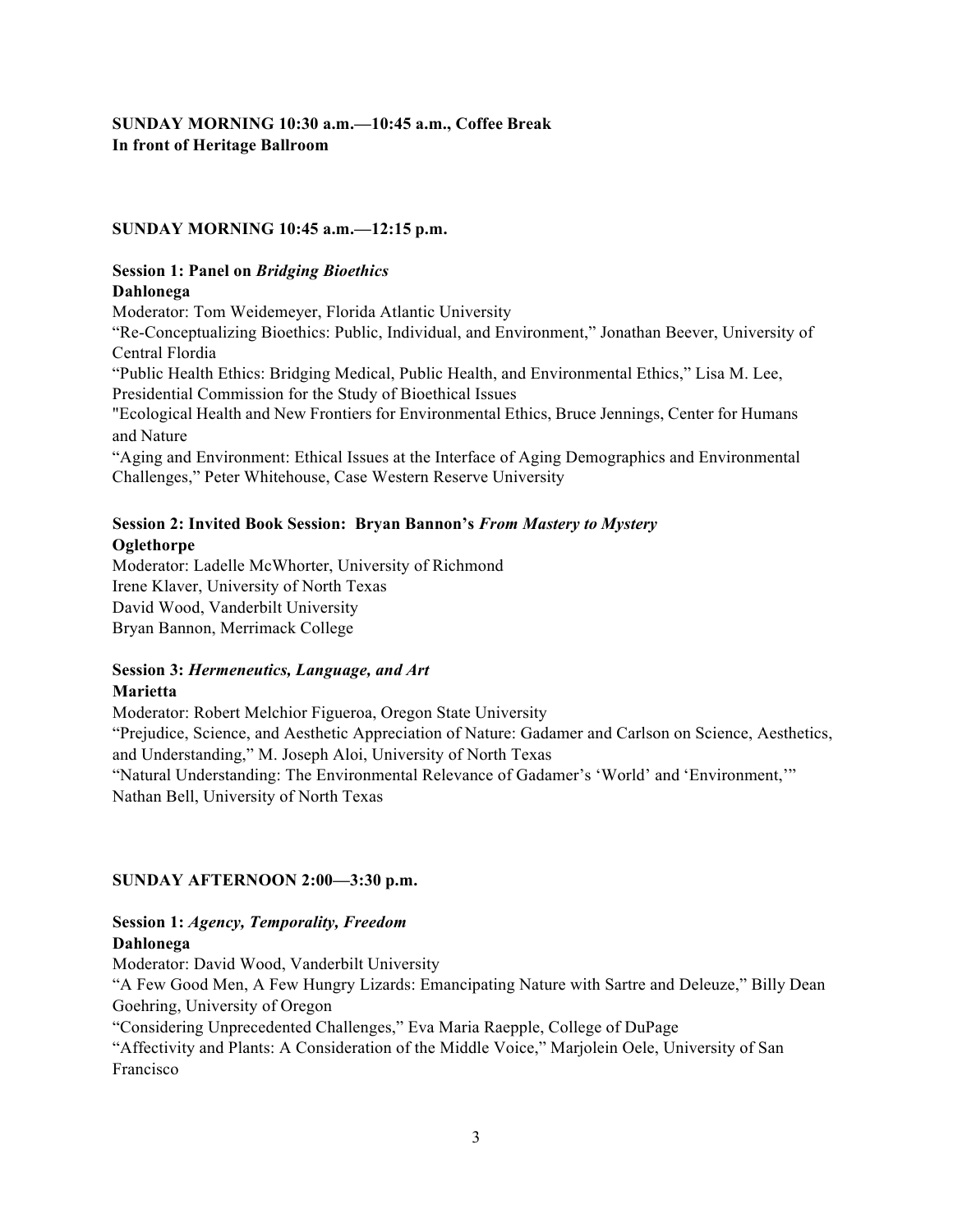# **SUNDAY MORNING 10:30 a.m.—10:45 a.m., Coffee Break In front of Heritage Ballroom**

#### **SUNDAY MORNING 10:45 a.m.—12:15 p.m.**

#### **Session 1: Panel on** *Bridging Bioethics* **Dahlonega**

Moderator: Tom Weidemeyer, Florida Atlantic University

"Re-Conceptualizing Bioethics: Public, Individual, and Environment," Jonathan Beever, University of Central Flordia

"Public Health Ethics: Bridging Medical, Public Health, and Environmental Ethics," Lisa M. Lee, Presidential Commission for the Study of Bioethical Issues

"Ecological Health and New Frontiers for Environmental Ethics, Bruce Jennings, Center for Humans and Nature

"Aging and Environment: Ethical Issues at the Interface of Aging Demographics and Environmental Challenges," Peter Whitehouse, Case Western Reserve University

### **Session 2: Invited Book Session: Bryan Bannon's** *From Mastery to Mystery* **Oglethorpe**

Moderator: Ladelle McWhorter, University of Richmond Irene Klaver, University of North Texas David Wood, Vanderbilt University Bryan Bannon, Merrimack College

### **Session 3:** *Hermeneutics, Language, and Art* **Marietta**

Moderator: Robert Melchior Figueroa, Oregon State University "Prejudice, Science, and Aesthetic Appreciation of Nature: Gadamer and Carlson on Science, Aesthetics, and Understanding," M. Joseph Aloi, University of North Texas "Natural Understanding: The Environmental Relevance of Gadamer's 'World' and 'Environment,'" Nathan Bell, University of North Texas

# **SUNDAY AFTERNOON 2:00—3:30 p.m.**

# **Session 1:** *Agency, Temporality, Freedom*

#### **Dahlonega**

Moderator: David Wood, Vanderbilt University

"A Few Good Men, A Few Hungry Lizards: Emancipating Nature with Sartre and Deleuze," Billy Dean Goehring, University of Oregon

"Considering Unprecedented Challenges," Eva Maria Raepple, College of DuPage

"Affectivity and Plants: A Consideration of the Middle Voice," Marjolein Oele, University of San Francisco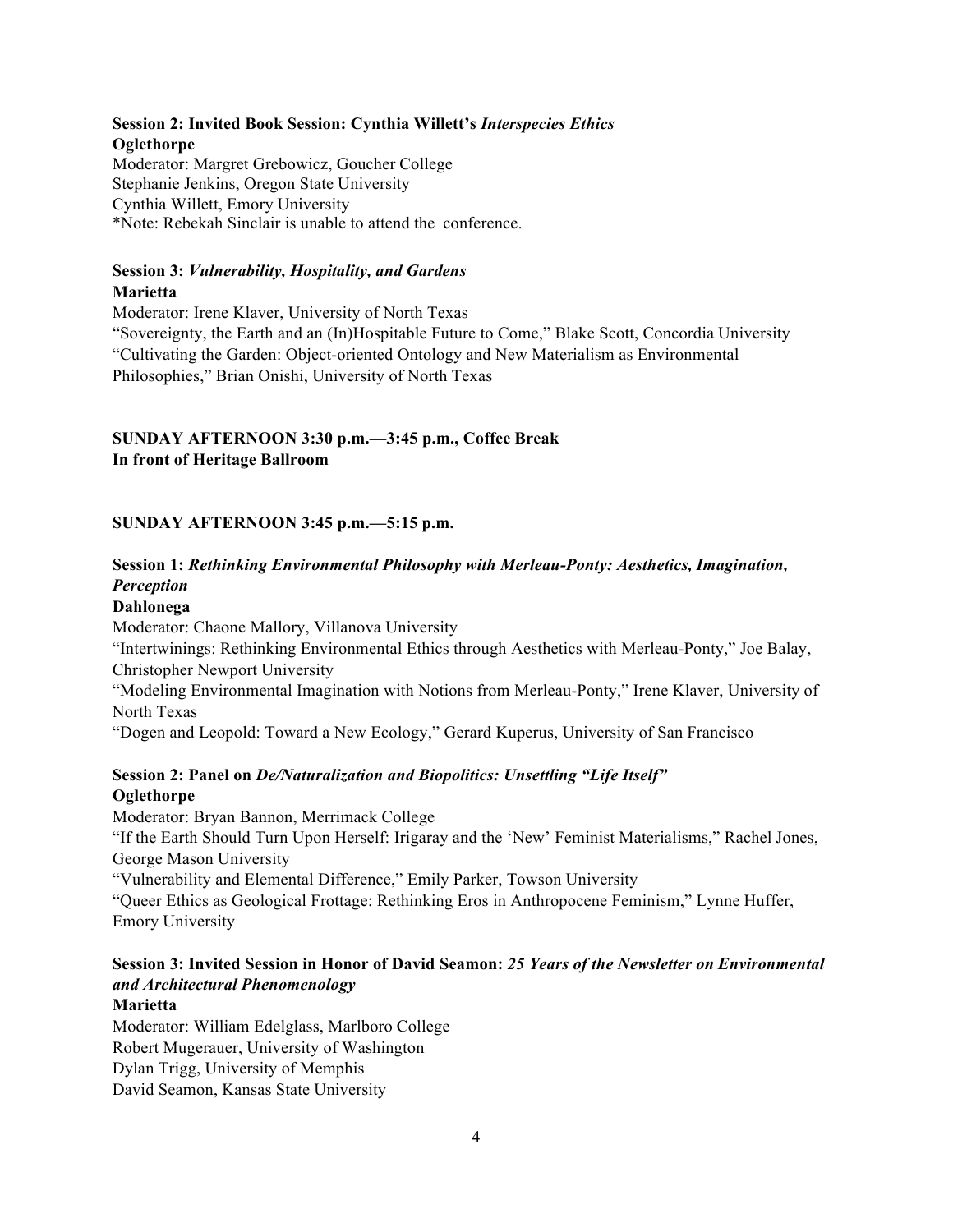# **Session 2: Invited Book Session: Cynthia Willett's** *Interspecies Ethics* **Oglethorpe**

Moderator: Margret Grebowicz, Goucher College Stephanie Jenkins, Oregon State University Cynthia Willett, Emory University \*Note: Rebekah Sinclair is unable to attend the conference.

# **Session 3:** *Vulnerability, Hospitality, and Gardens* **Marietta**

Moderator: Irene Klaver, University of North Texas

"Sovereignty, the Earth and an (In)Hospitable Future to Come," Blake Scott, Concordia University "Cultivating the Garden: Object-oriented Ontology and New Materialism as Environmental Philosophies," Brian Onishi, University of North Texas

# **SUNDAY AFTERNOON 3:30 p.m.—3:45 p.m., Coffee Break In front of Heritage Ballroom**

# **SUNDAY AFTERNOON 3:45 p.m.—5:15 p.m.**

# **Session 1:** *Rethinking Environmental Philosophy with Merleau-Ponty: Aesthetics, Imagination, Perception*

# **Dahlonega**

Moderator: Chaone Mallory, Villanova University "Intertwinings: Rethinking Environmental Ethics through Aesthetics with Merleau-Ponty," Joe Balay, Christopher Newport University "Modeling Environmental Imagination with Notions from Merleau-Ponty," Irene Klaver, University of North Texas

"Dogen and Leopold: Toward a New Ecology," Gerard Kuperus, University of San Francisco

# **Session 2: Panel on** *De/Naturalization and Biopolitics: Unsettling "Life Itself"* **Oglethorpe**

Moderator: Bryan Bannon, Merrimack College "If the Earth Should Turn Upon Herself: Irigaray and the 'New' Feminist Materialisms," Rachel Jones, George Mason University "Vulnerability and Elemental Difference," Emily Parker, Towson University "Queer Ethics as Geological Frottage: Rethinking Eros in Anthropocene Feminism," Lynne Huffer, Emory University

# **Session 3: Invited Session in Honor of David Seamon:** *25 Years of the Newsletter on Environmental and Architectural Phenomenology*

#### **Marietta**

Moderator: William Edelglass, Marlboro College Robert Mugerauer, University of Washington Dylan Trigg, University of Memphis David Seamon, Kansas State University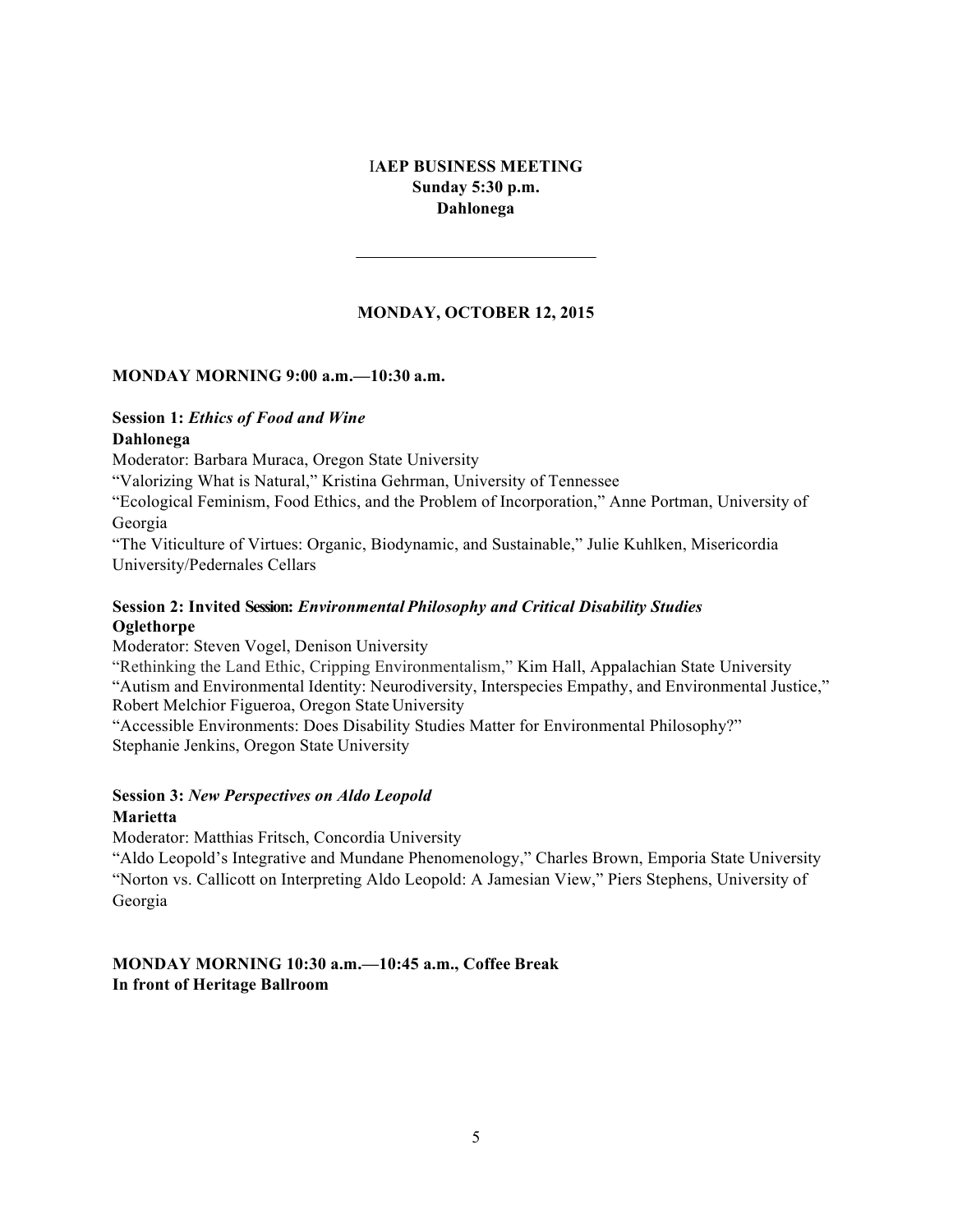### I**AEP BUSINESS MEETING Sunday 5:30 p.m. Dahlonega**

### **MONDAY, OCTOBER 12, 2015**

#### **MONDAY MORNING 9:00 a.m.—10:30 a.m.**

# **Session 1:** *Ethics of Food and Wine*

#### **Dahlonega**

Moderator: Barbara Muraca, Oregon State University

"Valorizing What is Natural," Kristina Gehrman, University of Tennessee

"Ecological Feminism, Food Ethics, and the Problem of Incorporation," Anne Portman, University of Georgia

"The Viticulture of Virtues: Organic, Biodynamic, and Sustainable," Julie Kuhlken, Misericordia University/Pedernales Cellars

#### **Session 2: Invited Session:** *Environmental Philosophy and Critical Disability Studies* **Oglethorpe**

Moderator: Steven Vogel, Denison University

"Rethinking the Land Ethic, Cripping Environmentalism," Kim Hall, Appalachian State University "Autism and Environmental Identity: Neurodiversity, Interspecies Empathy, and Environmental Justice," Robert Melchior Figueroa, Oregon State University

"Accessible Environments: Does Disability Studies Matter for Environmental Philosophy?" Stephanie Jenkins, Oregon State University

# **Session 3:** *New Perspectives on Aldo Leopold*

### **Marietta**

Moderator: Matthias Fritsch, Concordia University

"Aldo Leopold's Integrative and Mundane Phenomenology," Charles Brown, Emporia State University "Norton vs. Callicott on Interpreting Aldo Leopold: A Jamesian View," Piers Stephens, University of Georgia

#### **MONDAY MORNING 10:30 a.m.—10:45 a.m., Coffee Break In front of Heritage Ballroom**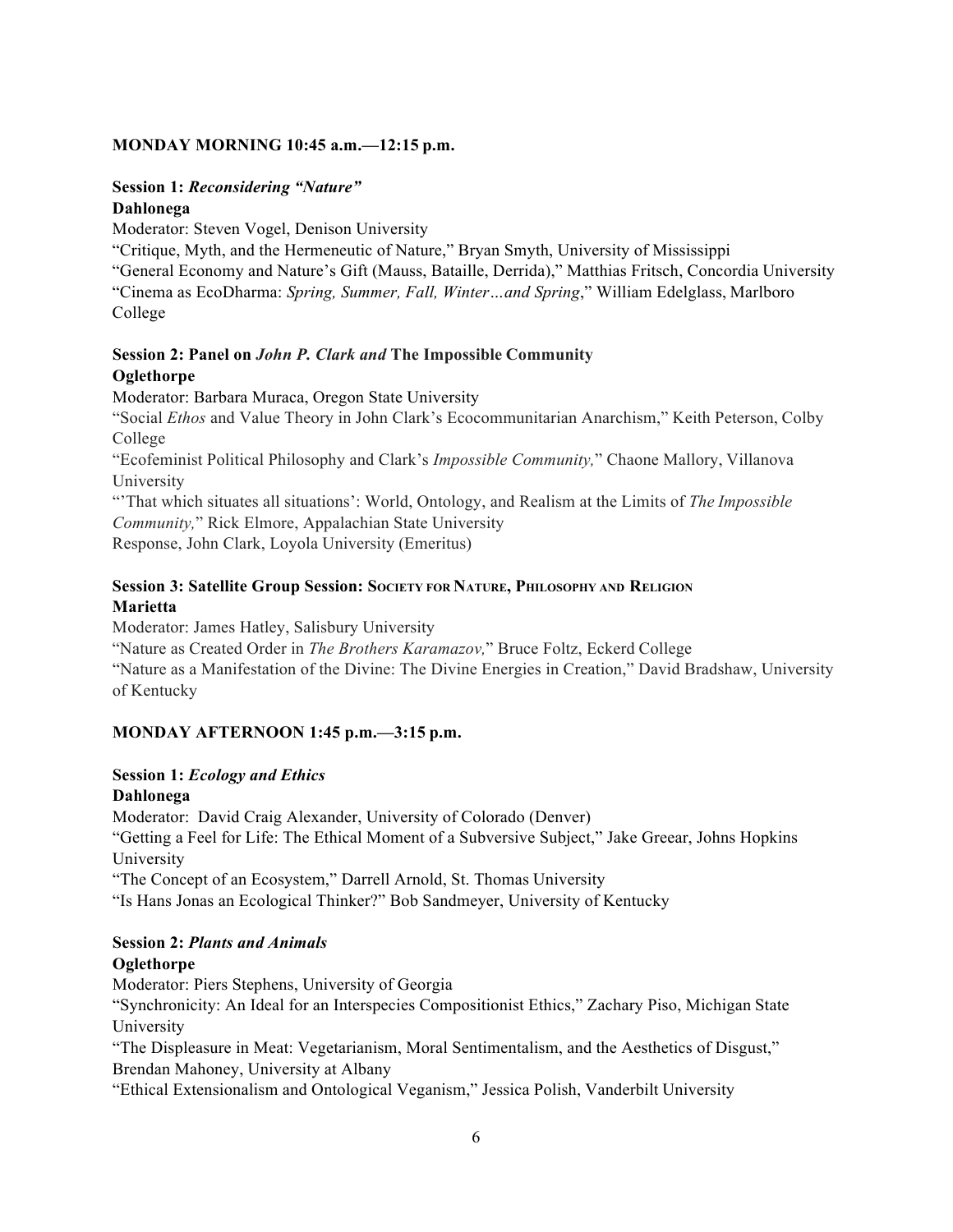### **MONDAY MORNING 10:45 a.m.—12:15 p.m.**

#### **Session 1:** *Reconsidering "Nature"* **Dahlonega**

Moderator: Steven Vogel, Denison University

"Critique, Myth, and the Hermeneutic of Nature," Bryan Smyth, University of Mississippi

"General Economy and Nature's Gift (Mauss, Bataille, Derrida)," Matthias Fritsch, Concordia University "Cinema as EcoDharma: *Spring, Summer, Fall, Winter…and Spring*," William Edelglass, Marlboro College

#### **Session 2: Panel on** *John P. Clark and* **The Impossible Community Oglethorpe**

Moderator: Barbara Muraca, Oregon State University

"Social *Ethos* and Value Theory in John Clark's Ecocommunitarian Anarchism," Keith Peterson, Colby College

"Ecofeminist Political Philosophy and Clark's *Impossible Community,*" Chaone Mallory, Villanova University

"'That which situates all situations': World, Ontology, and Realism at the Limits of *The Impossible Community,*" Rick Elmore, Appalachian State University Response, John Clark, Loyola University (Emeritus)

# **Session 3: Satellite Group Session: SOCIETY FOR NATURE, PHILOSOPHY AND RELIGION Marietta**

Moderator: James Hatley, Salisbury University

"Nature as Created Order in *The Brothers Karamazov,*" Bruce Foltz, Eckerd College

"Nature as a Manifestation of the Divine: The Divine Energies in Creation," David Bradshaw, University of Kentucky

# **MONDAY AFTERNOON 1:45 p.m.—3:15 p.m.**

# **Session 1:** *Ecology and Ethics*

# **Dahlonega**

Moderator: David Craig Alexander, University of Colorado (Denver) "Getting a Feel for Life: The Ethical Moment of a Subversive Subject," Jake Greear, Johns Hopkins University "The Concept of an Ecosystem," Darrell Arnold, St. Thomas University "Is Hans Jonas an Ecological Thinker?" Bob Sandmeyer, University of Kentucky

# **Session 2:** *Plants and Animals*

# **Oglethorpe**

Moderator: Piers Stephens, University of Georgia

"Synchronicity: An Ideal for an Interspecies Compositionist Ethics," Zachary Piso, Michigan State University

"The Displeasure in Meat: Vegetarianism, Moral Sentimentalism, and the Aesthetics of Disgust," Brendan Mahoney, University at Albany

"Ethical Extensionalism and Ontological Veganism," Jessica Polish, Vanderbilt University